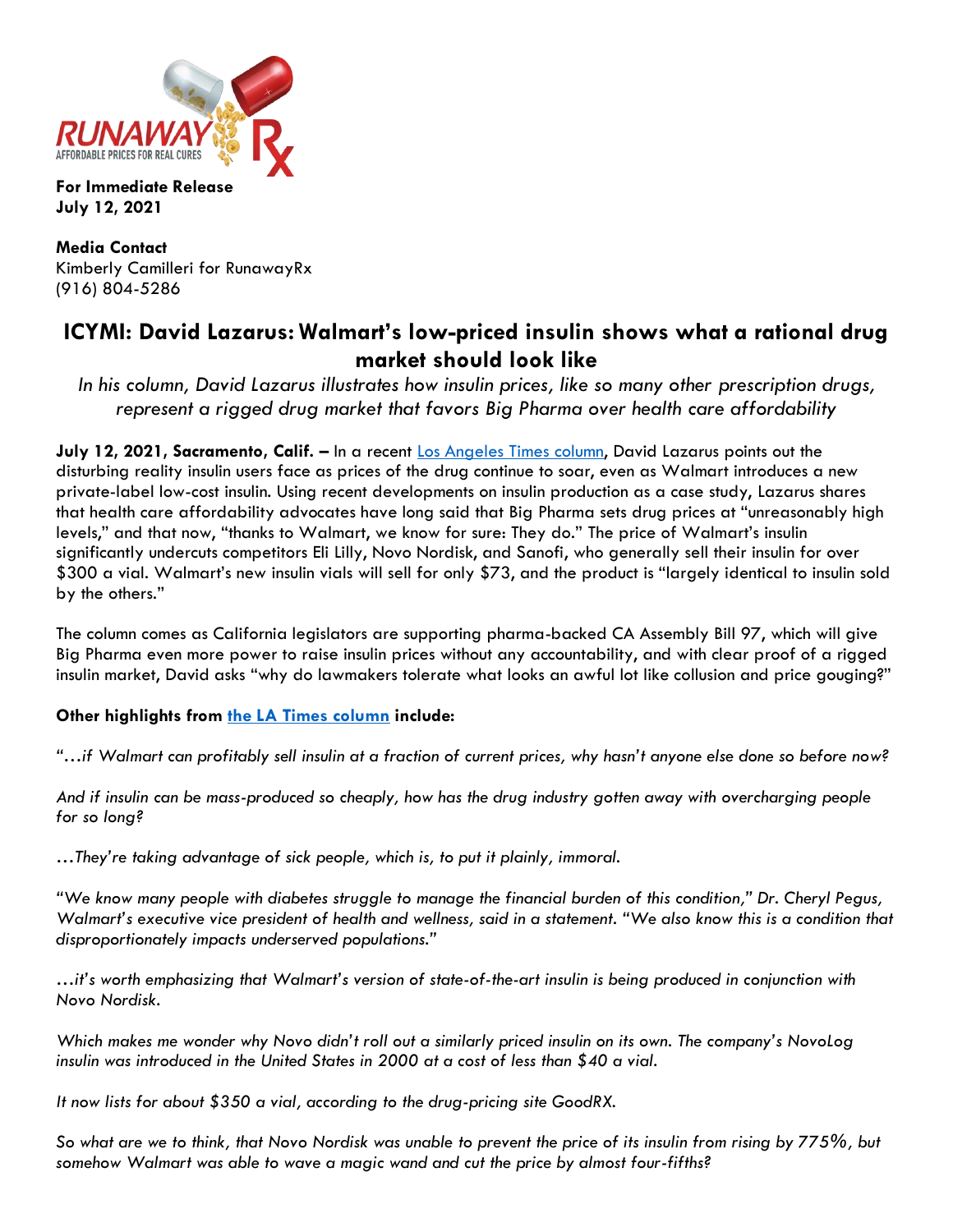

**For Immediate Release July 12, 2021**

**Media Contact** Kimberly Camilleri for RunawayRx (916) 804-5286

## **ICYMI: David Lazarus: Walmart's low-priced insulin shows what a rational drug market should look like**

*In his column, David Lazarus illustrates how insulin prices, like so many other prescription drugs, represent a rigged drug market that favors Big Pharma over health care affordability*

**July 12, 2021, Sacramento, Calif. –** In a recent [Los Angeles Times](https://www.latimes.com/business/story/2021-06-30/column-walmart-insulin) column, David Lazarus points out the disturbing reality insulin users face as prices of the drug continue to soar, even as Walmart introduces a new private-label low-cost insulin. Using recent developments on insulin production as a case study, Lazarus shares that health care affordability advocates have long said that Big Pharma sets drug prices at "unreasonably high levels," and that now, "thanks to Walmart, we know for sure: They do." The price of Walmart's insulin significantly undercuts competitors Eli Lilly, Novo Nordisk, and Sanofi, who generally sell their insulin for over \$300 a vial. Walmart's new insulin vials will sell for only \$73, and the product is "largely identical to insulin sold by the others."

The column comes as California legislators are supporting pharma-backed CA Assembly Bill 97, which will give Big Pharma even more power to raise insulin prices without any accountability, and with clear proof of a rigged insulin market, David asks "why do lawmakers tolerate what looks an awful lot like collusion and price gouging?"

## **Other highlights from [the LA Times column](https://www.latimes.com/business/story/2021-06-30/column-walmart-insulin) include:**

*"…if Walmart can profitably sell insulin at a fraction of current prices, why hasn't anyone else done so before now?* 

*And if insulin can be mass-produced so cheaply, how has the drug industry gotten away with overcharging people for so long?*

*…They're taking advantage of sick people, which is, to put it plainly, immoral.*

*"We know many people with diabetes struggle to manage the financial burden of this condition," Dr. Cheryl Pegus, Walmart's executive vice president of health and wellness, said in a statement. "We also know this is a condition that disproportionately impacts underserved populations."*

*…it's worth emphasizing that Walmart's version of state-of-the-art insulin is being produced in conjunction with Novo Nordisk.*

*Which makes me wonder why Novo didn't roll out a similarly priced insulin on its own. The company's NovoLog insulin was introduced in the United States in 2000 at a cost of less than \$40 a vial.*

*It now lists for about \$350 a vial, according to the drug-pricing site GoodRX.*

*So what are we to think, that Novo Nordisk was unable to prevent the price of its insulin from rising by 775%, but somehow Walmart was able to wave a magic wand and cut the price by almost four-fifths?*